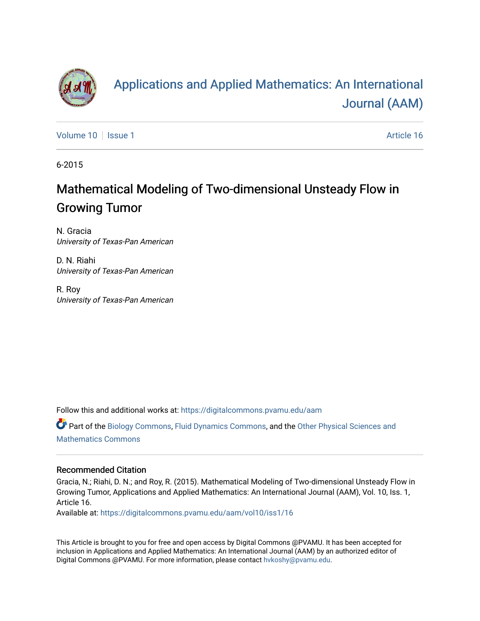

# [Applications and Applied Mathematics: An International](https://digitalcommons.pvamu.edu/aam)  [Journal \(AAM\)](https://digitalcommons.pvamu.edu/aam)

[Volume 10](https://digitalcommons.pvamu.edu/aam/vol10) | [Issue 1](https://digitalcommons.pvamu.edu/aam/vol10/iss1) Article 16

6-2015

## Mathematical Modeling of Two-dimensional Unsteady Flow in Growing Tumor

N. Gracia University of Texas-Pan American

D. N. Riahi University of Texas-Pan American

R. Roy University of Texas-Pan American

Follow this and additional works at: [https://digitalcommons.pvamu.edu/aam](https://digitalcommons.pvamu.edu/aam?utm_source=digitalcommons.pvamu.edu%2Faam%2Fvol10%2Fiss1%2F16&utm_medium=PDF&utm_campaign=PDFCoverPages) 

Part of the [Biology Commons,](http://network.bepress.com/hgg/discipline/41?utm_source=digitalcommons.pvamu.edu%2Faam%2Fvol10%2Fiss1%2F16&utm_medium=PDF&utm_campaign=PDFCoverPages) [Fluid Dynamics Commons,](http://network.bepress.com/hgg/discipline/201?utm_source=digitalcommons.pvamu.edu%2Faam%2Fvol10%2Fiss1%2F16&utm_medium=PDF&utm_campaign=PDFCoverPages) and the [Other Physical Sciences and](http://network.bepress.com/hgg/discipline/216?utm_source=digitalcommons.pvamu.edu%2Faam%2Fvol10%2Fiss1%2F16&utm_medium=PDF&utm_campaign=PDFCoverPages) [Mathematics Commons](http://network.bepress.com/hgg/discipline/216?utm_source=digitalcommons.pvamu.edu%2Faam%2Fvol10%2Fiss1%2F16&utm_medium=PDF&utm_campaign=PDFCoverPages)

#### Recommended Citation

Gracia, N.; Riahi, D. N.; and Roy, R. (2015). Mathematical Modeling of Two-dimensional Unsteady Flow in Growing Tumor, Applications and Applied Mathematics: An International Journal (AAM), Vol. 10, Iss. 1, Article 16.

Available at: [https://digitalcommons.pvamu.edu/aam/vol10/iss1/16](https://digitalcommons.pvamu.edu/aam/vol10/iss1/16?utm_source=digitalcommons.pvamu.edu%2Faam%2Fvol10%2Fiss1%2F16&utm_medium=PDF&utm_campaign=PDFCoverPages)

This Article is brought to you for free and open access by Digital Commons @PVAMU. It has been accepted for inclusion in Applications and Applied Mathematics: An International Journal (AAM) by an authorized editor of Digital Commons @PVAMU. For more information, please contact [hvkoshy@pvamu.edu.](mailto:hvkoshy@pvamu.edu)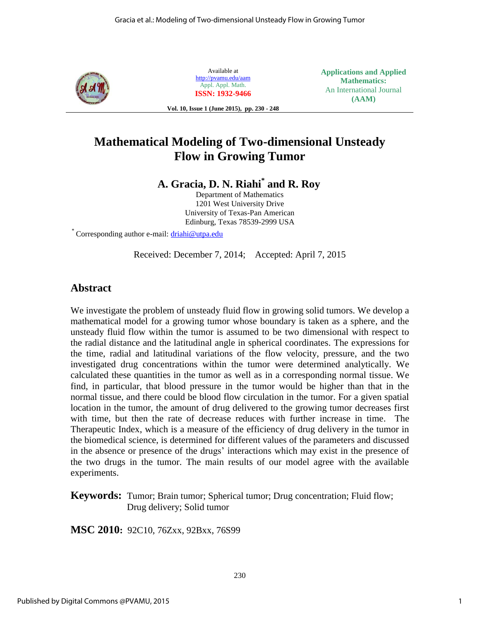

Available at <http://pvamu.edu/aam> Appl. Appl. Math. **ISSN: 1932-9466** **Applications and Applied Mathematics:**  An International Journal **(AAM)**

**Vol. 10, Issue 1 (June 2015), pp. 230 - 248**

## **Mathematical Modeling of Two-dimensional Unsteady Flow in Growing Tumor**

**A. Gracia, D. N. Riahi\* and R. Roy** 

Department of Mathematics 1201 West University Drive University of Texas-Pan American Edinburg, Texas 78539-2999 USA

\* Corresponding author e-mail: **driahi@utpa.edu** 

Received: December 7, 2014; Accepted: April 7, 2015

## **Abstract**

We investigate the problem of unsteady fluid flow in growing solid tumors. We develop a mathematical model for a growing tumor whose boundary is taken as a sphere, and the unsteady fluid flow within the tumor is assumed to be two dimensional with respect to the radial distance and the latitudinal angle in spherical coordinates. The expressions for the time, radial and latitudinal variations of the flow velocity, pressure, and the two investigated drug concentrations within the tumor were determined analytically. We calculated these quantities in the tumor as well as in a corresponding normal tissue. We find, in particular, that blood pressure in the tumor would be higher than that in the normal tissue, and there could be blood flow circulation in the tumor. For a given spatial location in the tumor, the amount of drug delivered to the growing tumor decreases first with time, but then the rate of decrease reduces with further increase in time. The Therapeutic Index, which is a measure of the efficiency of drug delivery in the tumor in the biomedical science, is determined for different values of the parameters and discussed in the absence or presence of the drugs' interactions which may exist in the presence of the two drugs in the tumor. The main results of our model agree with the available experiments.

**Keywords:** Tumor; Brain tumor; Spherical tumor; Drug concentration; Fluid flow; Drug delivery; Solid tumor

**MSC 2010:** 92C10, 76Zxx, 92Bxx, 76S99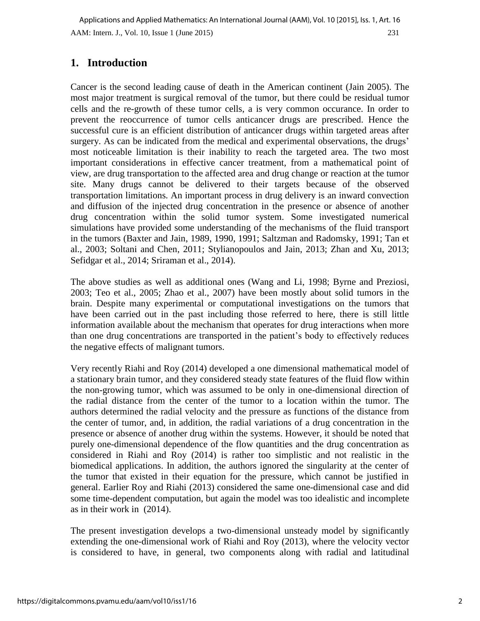## **1. Introduction**

Cancer is the second leading cause of death in the American continent (Jain 2005). The most major treatment is surgical removal of the tumor, but there could be residual tumor cells and the re-growth of these tumor cells, a is very common occurance. In order to prevent the reoccurrence of tumor cells anticancer drugs are prescribed. Hence the successful cure is an efficient distribution of anticancer drugs within targeted areas after surgery. As can be indicated from the medical and experimental observations, the drugs' most noticeable limitation is their inability to reach the targeted area. The two most important considerations in effective cancer treatment, from a mathematical point of view, are drug transportation to the affected area and drug change or reaction at the tumor site. Many drugs cannot be delivered to their targets because of the observed transportation limitations. An important process in drug delivery is an inward convection and diffusion of the injected drug concentration in the presence or absence of another drug concentration within the solid tumor system. Some investigated numerical simulations have provided some understanding of the mechanisms of the fluid transport in the tumors (Baxter and Jain, 1989, 1990, 1991; Saltzman and Radomsky, 1991; Tan et al., 2003; Soltani and Chen, 2011; Stylianopoulos and Jain, 2013; Zhan and Xu, 2013; Sefidgar et al., 2014; Sriraman et al., 2014).

The above studies as well as additional ones (Wang and Li, 1998; Byrne and Preziosi, 2003; Teo et al., 2005; Zhao et al., 2007) have been mostly about solid tumors in the brain. Despite many experimental or computational investigations on the tumors that have been carried out in the past including those referred to here, there is still little information available about the mechanism that operates for drug interactions when more than one drug concentrations are transported in the patient's body to effectively reduces the negative effects of malignant tumors.

Very recently Riahi and Roy (2014) developed a one dimensional mathematical model of a stationary brain tumor, and they considered steady state features of the fluid flow within the non-growing tumor, which was assumed to be only in one-dimensional direction of the radial distance from the center of the tumor to a location within the tumor. The authors determined the radial velocity and the pressure as functions of the distance from the center of tumor, and, in addition, the radial variations of a drug concentration in the presence or absence of another drug within the systems. However, it should be noted that purely one-dimensional dependence of the flow quantities and the drug concentration as considered in Riahi and Roy (2014) is rather too simplistic and not realistic in the biomedical applications. In addition, the authors ignored the singularity at the center of the tumor that existed in their equation for the pressure, which cannot be justified in general. Earlier Roy and Riahi (2013) considered the same one-dimensional case and did some time-dependent computation, but again the model was too idealistic and incomplete as in their work in (2014).

The present investigation develops a two-dimensional unsteady model by significantly extending the one-dimensional work of Riahi and Roy (2013), where the velocity vector is considered to have, in general, two components along with radial and latitudinal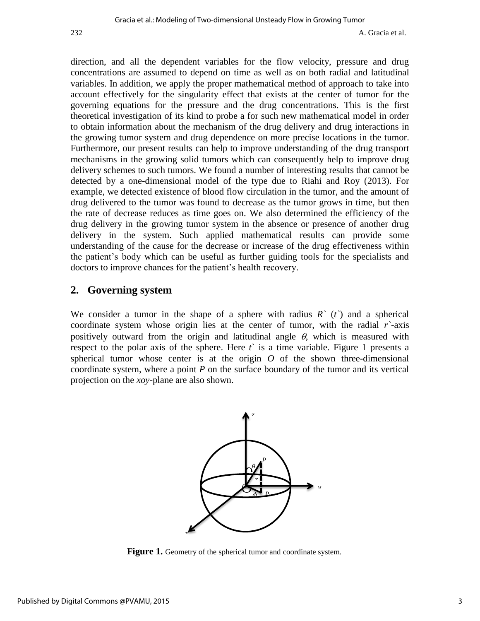direction, and all the dependent variables for the flow velocity, pressure and drug concentrations are assumed to depend on time as well as on both radial and latitudinal variables. In addition, we apply the proper mathematical method of approach to take into account effectively for the singularity effect that exists at the center of tumor for the governing equations for the pressure and the drug concentrations. This is the first theoretical investigation of its kind to probe a for such new mathematical model in order to obtain information about the mechanism of the drug delivery and drug interactions in the growing tumor system and drug dependence on more precise locations in the tumor. Furthermore, our present results can help to improve understanding of the drug transport mechanisms in the growing solid tumors which can consequently help to improve drug delivery schemes to such tumors. We found a number of interesting results that cannot be detected by a one-dimensional model of the type due to Riahi and Roy (2013). For example, we detected existence of blood flow circulation in the tumor, and the amount of drug delivered to the tumor was found to decrease as the tumor grows in time, but then the rate of decrease reduces as time goes on. We also determined the efficiency of the drug delivery in the growing tumor system in the absence or presence of another drug delivery in the system. Such applied mathematical results can provide some understanding of the cause for the decrease or increase of the drug effectiveness within the patient's body which can be useful as further guiding tools for the specialists and doctors to improve chances for the patient's health recovery.

#### **2. Governing system**

We consider a tumor in the shape of a sphere with radius *R`* (*t`*) and a spherical coordinate system whose origin lies at the center of tumor, with the radial *r`*-axis positively outward from the origin and latitudinal angle  $\theta$ , which is measured with respect to the polar axis of the sphere. Here  $t<sup>3</sup>$  is a time variable. Figure 1 presents a spherical tumor whose center is at the origin  $O$  of the shown three-dimensional coordinate system, where a point *P* on the surface boundary of the tumor and its vertical projection on the *xoy*-plane are also shown.



Figure 1. Geometry of the spherical tumor and coordinate system.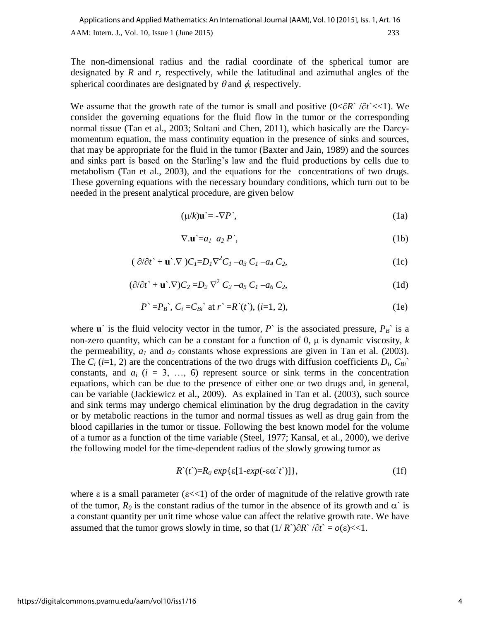The non-dimensional radius and the radial coordinate of the spherical tumor are designated by *R* and *r*, respectively, while the latitudinal and azimuthal angles of the spherical coordinates are designated by  $\theta$  and  $\phi$ , respectively.

We assume that the growth rate of the tumor is small and positive  $(0<\partial R\hat{}/\partial t<<1)$ . We consider the governing equations for the fluid flow in the tumor or the corresponding normal tissue (Tan et al., 2003; Soltani and Chen, 2011), which basically are the Darcymomentum equation, the mass continuity equation in the presence of sinks and sources, that may be appropriate for the fluid in the tumor (Baxter and Jain, 1989) and the sources and sinks part is based on the Starling's law and the fluid productions by cells due to metabolism (Tan et al., 2003), and the equations for the concentrations of two drugs. These governing equations with the necessary boundary conditions, which turn out to be needed in the present analytical procedure, are given below

$$
(\mu/k)\mathbf{u}^{\cdot} = -\nabla P^{\cdot},\tag{1a}
$$

$$
\nabla.\mathbf{u} = a_1 - a_2 P',\tag{1b}
$$

$$
(\partial/\partial t^* + \mathbf{u}^*.\nabla)C_I = D_I\nabla^2 C_I - a_3 C_I - a_4 C_2,\tag{1c}
$$

$$
(\partial/\partial t \cdot + \mathbf{u} \cdot \nabla)C_2 = D_2 \nabla^2 C_2 - a_5 C_1 - a_6 C_2, \qquad (1d)
$$

$$
P^{\sim} = P_B^{\sim}, C_i = C_{Bi}^{\sim} \text{ at } r^{\sim} = R^{\sim}(t^{\sim}), (i=1, 2), \tag{1e}
$$

where **u**` is the fluid velocity vector in the tumor, *P*` is the associated pressure,  $P_B$ ` is a non-zero quantity, which can be a constant for a function of  $\theta$ ,  $\mu$  is dynamic viscosity, *k* the permeability,  $a_1$  and  $a_2$  constants whose expressions are given in Tan et al. (2003). The  $C_i$  (*i*=1, 2) are the concentrations of the two drugs with diffusion coefficients  $D_i$ ,  $C_{Bi}$ <sup> $\sim$ </sup> constants, and  $a_i$  ( $i = 3, ..., 6$ ) represent source or sink terms in the concentration equations, which can be due to the presence of either one or two drugs and, in general, can be variable (Jackiewicz et al., 2009). As explained in Tan et al. (2003), such source and sink terms may undergo chemical elimination by the drug degradation in the cavity or by metabolic reactions in the tumor and normal tissues as well as drug gain from the blood capillaries in the tumor or tissue. Following the best known model for the volume of a tumor as a function of the time variable (Steel, 1977; Kansal, et al., 2000), we derive the following model for the time-dependent radius of the slowly growing tumor as

$$
R^{(t)} = R_0 \exp\{\varepsilon[1-\exp(-\varepsilon \alpha^{\prime} t')] \},\tag{1f}
$$

where  $\varepsilon$  is a small parameter ( $\varepsilon \ll 1$ ) of the order of magnitude of the relative growth rate of the tumor,  $R_0$  is the constant radius of the tumor in the absence of its growth and  $\alpha$  is a constant quantity per unit time whose value can affect the relative growth rate. We have assumed that the tumor grows slowly in time, so that  $(1/R^{\circ})\partial R^{\circ}/\partial t^{\circ} = o(\varepsilon) \ll 1$ .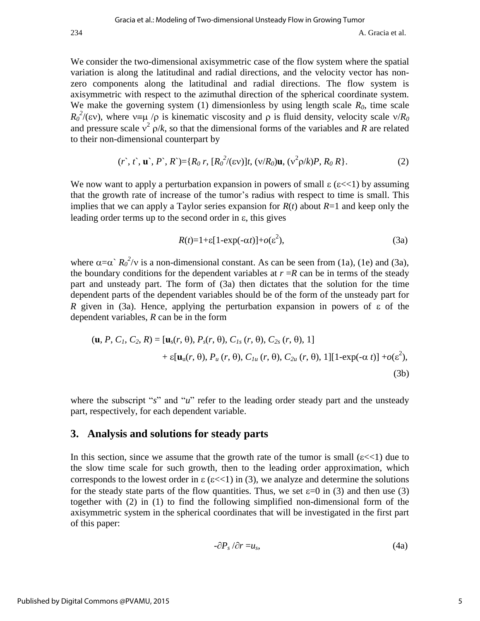234 A. Gracia et al.

We consider the two-dimensional axisymmetric case of the flow system where the spatial variation is along the latitudinal and radial directions, and the velocity vector has nonzero components along the latitudinal and radial directions. The flow system is axisymmetric with respect to the azimuthal direction of the spherical coordinate system. We make the governing system (1) dimensionless by using length scale  $R_0$ , time scale  $R_0^2/(\epsilon v)$ , where  $v = \mu / \rho$  is kinematic viscosity and  $\rho$  is fluid density, velocity scale  $v/R_0$ and pressure scale  $v^2$   $\rho/k$ , so that the dimensional forms of the variables and *R* are related to their non-dimensional counterpart by

$$
(r^*, t^*, \mathbf{u}^*, P^*, R^*) = \{R_0 r, [R_0^2/(\epsilon \mathbf{v})]t, (\mathbf{v}/R_0)\mathbf{u}, (\mathbf{v}^2 \mathbf{p}/k)P, R_0 R\}.
$$
 (2)

We now want to apply a perturbation expansion in powers of small  $\varepsilon$  ( $\varepsilon$ <<1) by assuming that the growth rate of increase of the tumor's radius with respect to time is small. This implies that we can apply a Taylor series expansion for  $R(t)$  about  $R=1$  and keep only the leading order terms up to the second order in  $\varepsilon$ , this gives

$$
R(t)=1+\varepsilon[1-\exp(-\alpha t)]+o(\varepsilon^2),\tag{3a}
$$

where  $\alpha = \alpha^2 R_0^2/v$  is a non-dimensional constant. As can be seen from (1a), (1e) and (3a), the boundary conditions for the dependent variables at  $r = R$  can be in terms of the steady part and unsteady part. The form of (3a) then dictates that the solution for the time dependent parts of the dependent variables should be of the form of the unsteady part for *R* given in (3a). Hence, applying the perturbation expansion in powers of  $\varepsilon$  of the dependent variables, *R* can be in the form

$$
(\mathbf{u}, P, C_1, C_2, R) = [\mathbf{u}_s(r, \theta), P_s(r, \theta), C_{1s}(r, \theta), C_{2s}(r, \theta), 1] + \varepsilon[\mathbf{u}_u(r, \theta), P_u(r, \theta), C_{1u}(r, \theta), C_{2u}(r, \theta), 1][1-\exp(-\alpha t)] + o(\varepsilon^2),
$$
(3b)

where the subscript "*s*" and "*u*" refer to the leading order steady part and the unsteady part, respectively, for each dependent variable.

#### **3. Analysis and solutions for steady parts**

In this section, since we assume that the growth rate of the tumor is small  $(\epsilon \ll 1)$  due to the slow time scale for such growth, then to the leading order approximation, which corresponds to the lowest order in  $\epsilon$  ( $\epsilon \ll 1$ ) in (3), we analyze and determine the solutions for the steady state parts of the flow quantities. Thus, we set  $\varepsilon=0$  in (3) and then use (3) together with (2) in (1) to find the following simplified non-dimensional form of the axisymmetric system in the spherical coordinates that will be investigated in the first part of this paper:

$$
-\partial P_s / \partial r = u_s, \tag{4a}
$$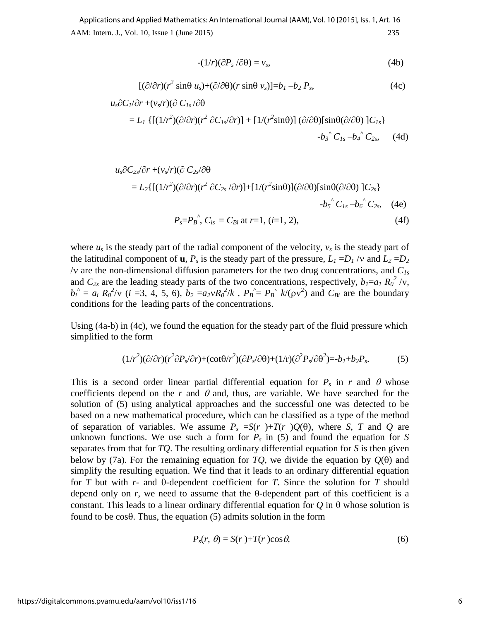AAM: Intern. J., Vol. 10, Issue 1 (June 2015) 235 Applications and Applied Mathematics: An International Journal (AAM), Vol. 10 [2015], Iss. 1, Art. 16

$$
-(1/r)(\partial P_s/\partial\theta) = v_s,\tag{4b}
$$

$$
[(\partial/\partial r)(r^2 \sin\theta u_s) + (\partial/\partial\theta)(r \sin\theta v_s)] = b_1 - b_2 P_s, \qquad (4c)
$$

$$
u_s \partial C_l / \partial r + (v_s / r) (\partial C_{ls} / \partial \theta
$$
  
=  $L_l \{ [(1/r^2)(\partial/\partial r)(r^2 \partial C_{ls} / \partial r)] + [1/(r^2 \sin \theta)] (\partial/\partial \theta) [\sin \theta (\partial/\partial \theta) ] C_{ls} \}$   
- $b_3$ <sup>^</sup> C<sub>ls</sub> -  $b_4$ <sup>^</sup> C<sub>2s</sub>, (4d)

$$
u_s \partial C_{2s} \partial r + (v_s/r)(\partial C_{2s} \partial \theta
$$
  
=  $L_2 \{ [(1/r^2)(\partial/\partial r)(r^2 \partial C_{2s} / \partial r)] + [1/(r^2 \sin \theta)](\partial/\partial \theta) [\sin \theta (\partial/\partial \theta) ] C_{2s} \}$   
- $b_s^{\hat{}} C_{1s} - b_6^{\hat{}} C_{2s}$ , (4e)  
 $P_s = P_B^{\hat{}} C_{1s} = C_{Bi} \text{ at } r = 1, (i = 1, 2),$  (4f)

where  $u_s$  is the steady part of the radial component of the velocity,  $v_s$  is the steady part of the latitudinal component of **u**,  $P_s$  is the steady part of the pressure,  $L_1 = D_1 / v$  and  $L_2 = D_2$  $\sqrt{v}$  are the non-dimensional diffusion parameters for the two drug concentrations, and  $C_{Is}$ and  $C_{2s}$  are the leading steady parts of the two concentrations, respectively,  $b_1=a_1 R_0^2/v$ ,  $b_i^{\hat{i}} = a_i R_0^2/v$  (*i* = 3, 4, 5, 6),  $b_2 = a_2 v R_0^2/k$ ,  $P_B^{\hat{i}} = P_B^{\hat{i}} k/(\rho v^2)$  and  $C_{Bi}$  are the boundary conditions for the leading parts of the concentrations.

Using (4a-b) in (4c), we found the equation for the steady part of the fluid pressure which simplified to the form

$$
(1/r^2)(\partial/\partial r)(r^2\partial P_s/\partial r) + (\cot\theta/r^2)(\partial P_s/\partial\theta) + (1/r)(\partial^2 P_s/\partial\theta^2) = b_1 + b_2 P_s. \tag{5}
$$

This is a second order linear partial differential equation for  $P_s$  in *r* and  $\theta$  whose coefficients depend on the *r* and  $\theta$  and, thus, are variable. We have searched for the solution of (5) using analytical approaches and the successful one was detected to be based on a new mathematical procedure, which can be classified as a type of the method of separation of variables. We assume  $P_s = S(r) + T(r)Q(\theta)$ , where *S*, *T* and *Q* are unknown functions. We use such a form for  $P_s$  in (5) and found the equation for *S* separates from that for *TQ*. The resulting ordinary differential equation for *S* is then given below by (7a). For the remaining equation for  $TQ$ , we divide the equation by  $Q(\theta)$  and simplify the resulting equation. We find that it leads to an ordinary differential equation for  $T$  but with  $r$ - and  $\theta$ -dependent coefficient for  $T$ . Since the solution for  $T$  should depend only on  $r$ , we need to assume that the  $\theta$ -dependent part of this coefficient is a constant. This leads to a linear ordinary differential equation for  $\ddot{O}$  in  $\ddot{\theta}$  whose solution is found to be  $\cos\theta$ . Thus, the equation (5) admits solution in the form

$$
P_s(r, \theta) = S(r) + T(r) \cos \theta, \tag{6}
$$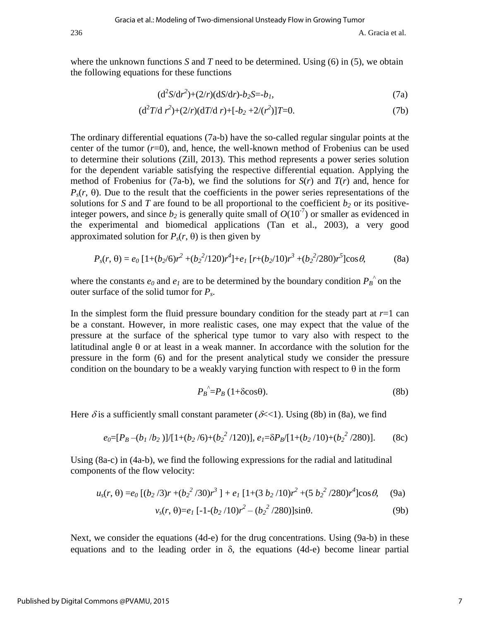where the unknown functions *S* and *T* need to be determined. Using  $(6)$  in  $(5)$ , we obtain the following equations for these functions

$$
(d^2S/dr^2) + (2/r)(dS/dr) - b_2S = -b_1,
$$
\n(7a)

$$
(\mathrm{d}^2 T/\mathrm{d} r^2) + (2/r)(\mathrm{d} T/\mathrm{d} r) + [-b_2 + 2/(r^2)]T = 0. \tag{7b}
$$

The ordinary differential equations (7a-b) have the so-called regular singular points at the center of the tumor  $(r=0)$ , and, hence, the well-known method of Frobenius can be used to determine their solutions (Zill, 2013). This method represents a power series solution for the dependent variable satisfying the respective differential equation. Applying the method of Frobenius for (7a-b), we find the solutions for  $S(r)$  and  $T(r)$  and, hence for  $P_s(r, \theta)$ . Due to the result that the coefficients in the power series representations of the solutions for *S* and *T* are found to be all proportional to the coefficient  $b_2$  or its positiveinteger powers, and since  $b_2$  is generally quite small of  $O(10^{-7})$  or smaller as evidenced in the experimental and biomedical applications (Tan et al., 2003), a very good approximated solution for  $P_s(r, \theta)$  is then given by

$$
P_s(r, \theta) = e_0 \left[ 1 + (b_2/6)r^2 + (b_2^2/120)r^4 \right] + e_1 \left[ r + (b_2/10)r^3 + (b_2^2/280)r^5 \right] \cos \theta, \tag{8a}
$$

where the constants  $e_0$  and  $e_1$  are to be determined by the boundary condition  $P_B^{\,\,\hat{}}$  on the outer surface of the solid tumor for *Ps*.

In the simplest form the fluid pressure boundary condition for the steady part at  $r=1$  can be a constant. However, in more realistic cases, one may expect that the value of the pressure at the surface of the spherical type tumor to vary also with respect to the latitudinal angle  $\theta$  or at least in a weak manner. In accordance with the solution for the pressure in the form (6) and for the present analytical study we consider the pressure condition on the boundary to be a weakly varying function with respect to  $\theta$  in the form

$$
P_B^{\hat{}} = P_B (1 + \delta \cos \theta). \tag{8b}
$$

Here  $\delta$  is a sufficiently small constant parameter ( $\delta \ll 1$ ). Using (8b) in (8a), we find

$$
e_0=[P_B-(b_1/b_2)]/[1+(b_2/6)+(b_2^2/120)], e_1=\delta P_B/[1+(b_2/10)+(b_2^2/280)].
$$
 (8c)

Using (8a-c) in (4a-b), we find the following expressions for the radial and latitudinal components of the flow velocity:

$$
u_s(r,\theta) = e_0 \left[ \frac{(b_2/3)r + (b_2^2/30)r^3 \right] + e_1 \left[ 1 + (3 b_2/10)r^2 + (5 b_2^2/280)r^4 \right] \cos \theta, \quad (9a)
$$

$$
v_s(r, \theta) = e_1 \left[ -1 - (b_2/10)r^2 - (b_2^2/280) \right] \sin \theta. \tag{9b}
$$

Next, we consider the equations (4d-e) for the drug concentrations. Using (9a-b) in these equations and to the leading order in  $\delta$ , the equations (4d-e) become linear partial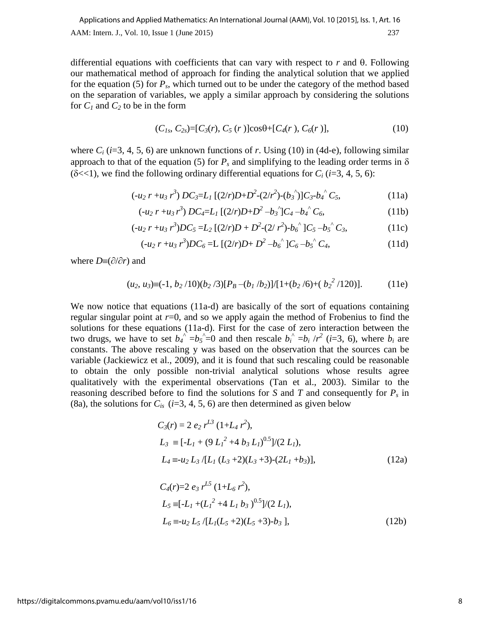differential equations with coefficients that can vary with respect to  $r$  and  $\theta$ . Following our mathematical method of approach for finding the analytical solution that we applied for the equation (5) for *Ps*, which turned out to be under the category of the method based on the separation of variables, we apply a similar approach by considering the solutions for  $C_1$  and  $C_2$  to be in the form

$$
(C_{1s}, C_{2s}) = [C_3(r), C_5(r)]\cos\theta + [C_4(r), C_6(r)], \qquad (10)
$$

where  $C_i$  ( $i=3, 4, 5, 6$ ) are unknown functions of *r*. Using (10) in (4d-e), following similar approach to that of the equation (5) for  $P_s$  and simplifying to the leading order terms in  $\delta$ ( $\delta \ll 1$ ), we find the following ordinary differential equations for  $C_i$  ( $i=3, 4, 5, 6$ ):

$$
(-u_2 r + u_3 r^3) DC_3 = L_1 [(2/r)D + D^2 - (2/r^2) - (b_3^{\prime})] C_3 - b_4^{\prime \prime} C_5,
$$
\n(11a)

$$
(-u_2 r + u_3 r^3) DC_4 = L_1 [(2/r)D + D^2 - b_3^{\hat{}}] C_4 - b_4^{\hat{}} C_6,
$$
\n(11b)

$$
(-u_2 r + u_3 r^3)DC_5 = L_2 [(2/r)D + D^2 - (2/r^2) - b_6^{\hat{}}]C_5 - b_5^{\hat{}}C_3,
$$
(11c)

$$
(-u_2 r + u_3 r^3)DC_6 = L [(2/r)D + D^2 - b_6^{\prime\prime}]C_6 - b_5^{\prime\prime} C_4,
$$
\n(11d)

where  $D = (\partial/\partial r)$  and

$$
(u_2, u_3) \equiv (-1, b_2/10)(b_2/3)[P_B - (b_1/b_2)]/[1 + (b_2/6) + (b_2^2/120)].
$$
 (11e)

We now notice that equations (11a-d) are basically of the sort of equations containing regular singular point at  $r=0$ , and so we apply again the method of Frobenius to find the solutions for these equations (11a-d). First for the case of zero interaction between the two drugs, we have to set  $b_4$ <sup> $\hat{i} = b_5$  $\hat{j} = 0$  and then rescale  $b_i$ <sup> $\hat{k} = b_i / r^2$ </sup> (*i*=3, 6), where  $b_i$  are</sup> constants. The above rescaling y was based on the observation that the sources can be variable (Jackiewicz et al., 2009), and it is found that such rescaling could be reasonable to obtain the only possible non-trivial analytical solutions whose results agree qualitatively with the experimental observations (Tan et al., 2003). Similar to the reasoning described before to find the solutions for *S* and *T* and consequently for *Ps* in (8a), the solutions for  $C_i$ <sub>s</sub> ( $i=3, 4, 5, 6$ ) are then determined as given below

$$
C_3(r) = 2 e_2 r^{L^3} (1 + L_4 r^2),
$$
  
\n
$$
L_3 \equiv [-L_1 + (9 L_1^2 + 4 b_3 L_1)^{0.5}]/(2 L_1),
$$
  
\n
$$
L_4 \equiv u_2 L_3/[L_1 (L_3 + 2)(L_3 + 3) - (2L_1 + b_3)],
$$
\n(12a)

$$
C_4(r)=2 e_3 r^{L5} (1+L_6 r^2),
$$
  
\n
$$
L_5 \equiv [-L_1 + (L_1^2 + 4 L_1 b_3)^{0.5}]/(2 L_1),
$$
  
\n
$$
L_6 \equiv -u_2 L_5/[L_1(L_5 + 2)(L_5 + 3) - b_3],
$$
\n(12b)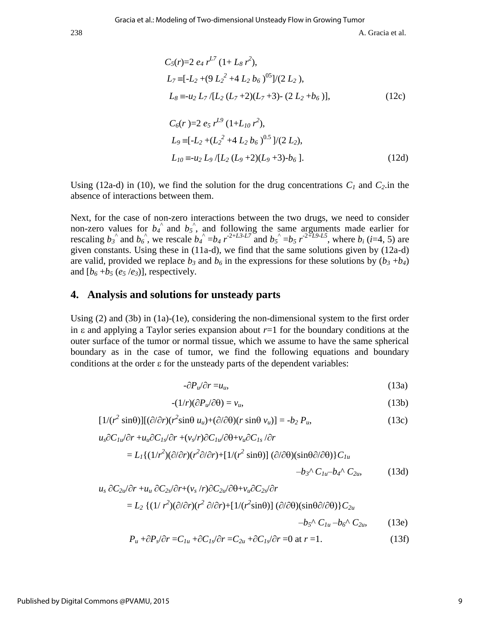238 A. Gracia et al.

$$
C_5(r)=2 e_4 r^{L7} (1+L_8 r^2),
$$
  
\n
$$
L_7 = [-L_2 + (9 L_2^2 + 4 L_2 b_6)^{05}]/(2 L_2),
$$
  
\n
$$
L_8 = -u_2 L_7/[L_2 (L_7 + 2)(L_7 + 3) - (2 L_2 + b_6)],
$$
  
\n
$$
C_6(r) = 2 e_5 r^{L9} (1+L_{10} r^2),
$$
  
\n
$$
L_9 = [-L_2 + (L_2^2 + 4 L_2 b_6)^{0.5}]/(2 L_2),
$$
  
\n
$$
L_{10} = -u_2 L_9/[L_2 (L_9 + 2)(L_9 + 3) - b_6].
$$
\n(12d)

Using (12a-d) in (10), we find the solution for the drug concentrations  $C_I$  and  $C_2$  in the absence of interactions between them.

Next, for the case of non-zero interactions between the two drugs, we need to consider non-zero values for  $b_4$ <sup> $\wedge$ </sup> and  $b_5$ <sup> $\wedge$ </sup>, and following the same arguments made earlier for rescaling  $b_3$ <sup>2</sup> and  $b_6$ <sup>2</sup>, we rescale  $b_4$ <sup>2</sup> =  $b_4$   $r^{2+L3-L7}$  and  $b_5$ <sup>2</sup> =  $b_5$   $r^{2+L9-L5}$ , where  $b_i$  (*i*=4, 5) are given constants. Using these in (11a-d), we find that the same solutions given by (12a-d) are valid, provided we replace  $b_3$  and  $b_6$  in the expressions for these solutions by  $(b_3 + b_4)$ and  $[b_6 + b_5 (e_5/e_3)]$ , respectively.

#### **4. Analysis and solutions for unsteady parts**

Using (2) and (3b) in (1a)-(1e), considering the non-dimensional system to the first order in  $\varepsilon$  and applying a Taylor series expansion about  $r=1$  for the boundary conditions at the outer surface of the tumor or normal tissue, which we assume to have the same spherical boundary as in the case of tumor, we find the following equations and boundary conditions at the order  $\epsilon$  for the unsteady parts of the dependent variables:

$$
-\partial P_u/\partial r = u_u,\tag{13a}
$$

$$
-(1/r)(\partial P_u/\partial \theta) = v_u,\tag{13b}
$$

$$
[1/(r^2 \sin\theta)][(\partial/\partial r)(r^2 \sin\theta u_u) + (\partial/\partial\theta)(r \sin\theta v_u)] = -b_2 P_u,
$$
 (13c)

$$
u_s \partial C_{1u} / \partial r + u_u \partial C_{1s} / \partial r + (v_s / r) \partial C_{1u} / \partial \theta + v_u \partial C_{1s} / \partial r
$$
  
=  $L_1 \{ (1/r^2)(\partial/\partial r)(r^2 \partial/\partial r) + [1/(r^2 \sin \theta)] (\partial/\partial \theta)(\sin \theta \partial/\partial \theta) \} C_{1u}$   
- $b_3 \sqrt{C_{1u} - b_4} \sqrt{C_{2u}}$ , (13d)

$$
u_s \, \partial C_{2u}/\partial r + u_u \, \partial C_{2s}/\partial r + (v_s/r) \partial C_{2u}/\partial \theta + v_u \partial C_{2s}/\partial r
$$
  
=  $L_2 \{ (1/r^2)(\partial/\partial r)(r^2 \partial/\partial r) + [1/(r^2 \sin \theta)] (\partial/\partial \theta)(\sin \theta \partial/\partial \theta) \} C_{2u}$ 

$$
-b_5 \wedge C_{1u} - b_6 \wedge C_{2u}, \qquad (13e)
$$

$$
P_u + \frac{\partial P_s}{\partial r} = C_{1u} + \frac{\partial C_{1s}}{\partial r} = C_{2u} + \frac{\partial C_{1s}}{\partial r} = 0 \text{ at } r = 1.
$$
 (13f)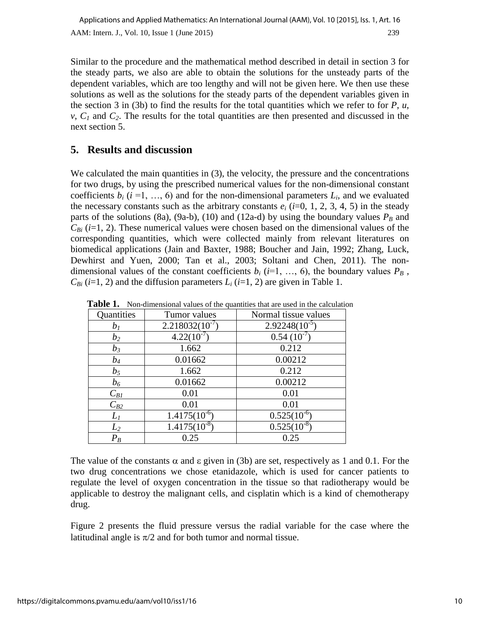Similar to the procedure and the mathematical method described in detail in section 3 for the steady parts, we also are able to obtain the solutions for the unsteady parts of the dependent variables, which are too lengthy and will not be given here. We then use these solutions as well as the solutions for the steady parts of the dependent variables given in the section 3 in (3b) to find the results for the total quantities which we refer to for  $P$ ,  $u$ ,  $v, C<sub>1</sub>$  and  $C<sub>2</sub>$ . The results for the total quantities are then presented and discussed in the next section 5.

## **5. Results and discussion**

We calculated the main quantities in (3), the velocity, the pressure and the concentrations for two drugs, by using the prescribed numerical values for the non-dimensional constant coefficients  $b_i$  ( $i = 1, ..., 6$ ) and for the non-dimensional parameters  $L_i$ , and we evaluated the necessary constants such as the arbitrary constants  $e_i$  ( $i=0, 1, 2, 3, 4, 5$ ) in the steady parts of the solutions (8a), (9a-b), (10) and (12a-d) by using the boundary values  $P_B$  and  $C_{Bi}$  (*i*=1, 2). These numerical values were chosen based on the dimensional values of the corresponding quantities, which were collected mainly from relevant literatures on biomedical applications (Jain and Baxter, 1988; Boucher and Jain, 1992; Zhang, Luck, Dewhirst and Yuen, 2000; Tan et al., 2003; Soltani and Chen, 2011). The nondimensional values of the constant coefficients  $b_i$  ( $i=1, ..., 6$ ), the boundary values  $P_B$ ,  $C_{Bi}$  (*i*=1, 2) and the diffusion parameters  $L_i$  (*i*=1, 2) are given in Table 1.

| Quantities | Tumor values        | Normal tissue values |
|------------|---------------------|----------------------|
| $b_I$      | $2.218032(10^{-7})$ | $2.92248(10^{-5})$   |
| $b_2$      | $4.22(10^{-7})$     | $0.54~(10^{-7})$     |
| $b_3$      | 1.662               | 0.212                |
| $b_4$      | 0.01662             | 0.00212              |
| $b_5$      | 1.662               | 0.212                |
| $b_6$      | 0.01662             | 0.00212              |
| $C_{BI}$   | 0.01                | 0.01                 |
| $C_{B2}$   | 0.01                | 0.01                 |
| $L_I$      | $1.4175(10^{6})$    | $0.525(10^{-6})$     |
| $L_2$      | $1.4175(10^{-8})$   | $0.525(10^{-8})$     |
| $P_B$      | 0.25                | 0.25                 |

**Table 1.** Non-dimensional values of the quantities that are used in the calculation

The value of the constants  $\alpha$  and  $\varepsilon$  given in (3b) are set, respectively as 1 and 0.1. For the two drug concentrations we chose etanidazole, which is used for cancer patients to regulate the level of oxygen concentration in the tissue so that radiotherapy would be applicable to destroy the malignant cells, and cisplatin which is a kind of chemotherapy drug.

Figure 2 presents the fluid pressure versus the radial variable for the case where the latitudinal angle is  $\pi/2$  and for both tumor and normal tissue.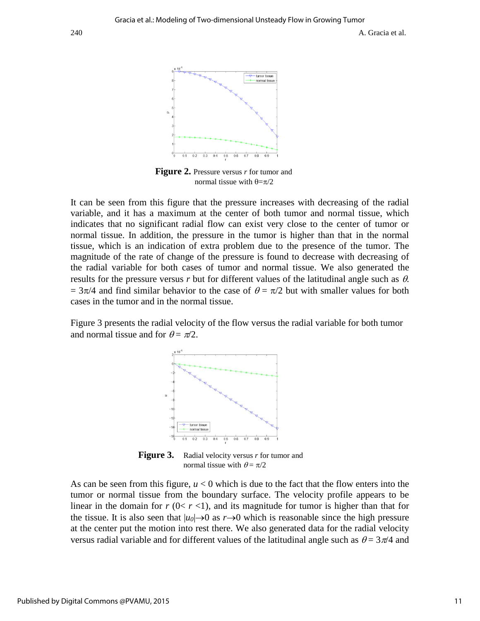

 **Figure 2.** Pressure versus *r* for tumor and normal tissue with  $\theta = \pi/2$ 

It can be seen from this figure that the pressure increases with decreasing of the radial variable, and it has a maximum at the center of both tumor and normal tissue, which indicates that no significant radial flow can exist very close to the center of tumor or normal tissue. In addition, the pressure in the tumor is higher than that in the normal tissue, which is an indication of extra problem due to the presence of the tumor. The magnitude of the rate of change of the pressure is found to decrease with decreasing of the radial variable for both cases of tumor and normal tissue. We also generated the results for the pressure versus  $r$  but for different values of the latitudinal angle such as  $\theta$ .  $= 3\pi/4$  and find similar behavior to the case of  $\theta = \pi/2$  but with smaller values for both cases in the tumor and in the normal tissue.

Figure 3 presents the radial velocity of the flow versus the radial variable for both tumor and normal tissue and for  $\theta = \pi/2$ .



**Figure 3.** Radial velocity versus *r* for tumor and normal tissue with  $\theta = \pi/2$ 

As can be seen from this figure,  $u < 0$  which is due to the fact that the flow enters into the tumor or normal tissue from the boundary surface. The velocity profile appears to be linear in the domain for  $r$  ( $0 < r < 1$ ), and its magnitude for tumor is higher than that for the tissue. It is also seen that  $|u_0| \rightarrow 0$  as  $r \rightarrow 0$  which is reasonable since the high pressure at the center put the motion into rest there. We also generated data for the radial velocity versus radial variable and for different values of the latitudinal angle such as  $\theta = 3\pi/4$  and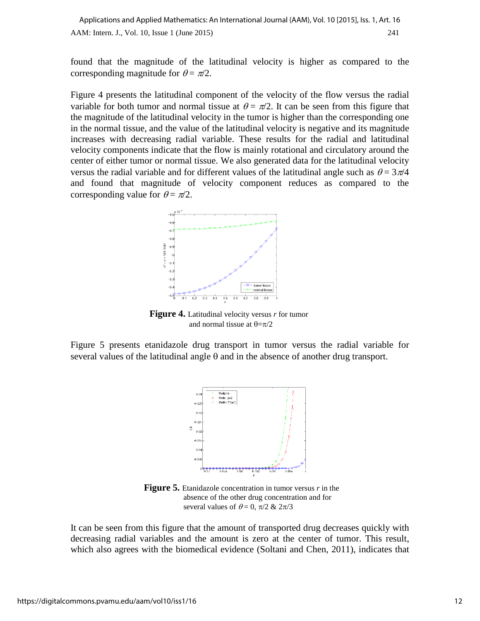found that the magnitude of the latitudinal velocity is higher as compared to the corresponding magnitude for  $\theta = \pi/2$ .

Figure 4 presents the latitudinal component of the velocity of the flow versus the radial variable for both tumor and normal tissue at  $\theta = \pi/2$ . It can be seen from this figure that the magnitude of the latitudinal velocity in the tumor is higher than the corresponding one in the normal tissue, and the value of the latitudinal velocity is negative and its magnitude increases with decreasing radial variable. These results for the radial and latitudinal velocity components indicate that the flow is mainly rotational and circulatory around the center of either tumor or normal tissue. We also generated data for the latitudinal velocity versus the radial variable and for different values of the latitudinal angle such as  $\theta = 3\pi/4$ and found that magnitude of velocity component reduces as compared to the corresponding value for  $\theta = \pi/2$ .



**Figure 4.** Latitudinal velocity versus *r* for tumor and normal tissue at  $\theta = \pi/2$ 

Figure 5 presents etanidazole drug transport in tumor versus the radial variable for several values of the latitudinal angle  $\theta$  and in the absence of another drug transport.



**Figure 5.** Etanidazole concentration in tumor versus *r* in the absence of the other drug concentration and for several values of  $\theta = 0$ ,  $\pi/2 \& 2\pi/3$ 

It can be seen from this figure that the amount of transported drug decreases quickly with decreasing radial variables and the amount is zero at the center of tumor. This result, which also agrees with the biomedical evidence (Soltani and Chen, 2011), indicates that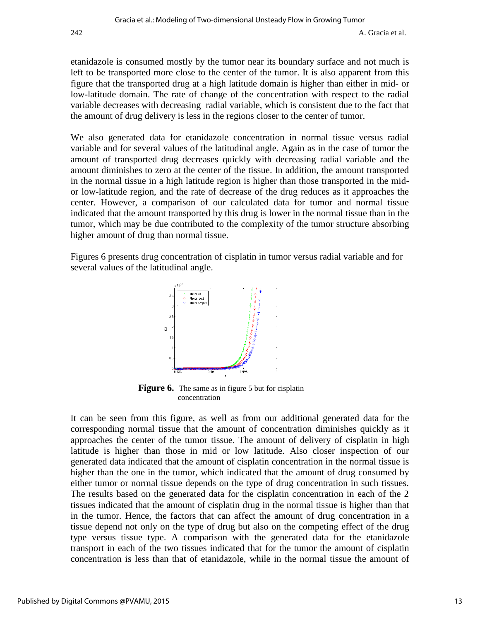etanidazole is consumed mostly by the tumor near its boundary surface and not much is left to be transported more close to the center of the tumor. It is also apparent from this figure that the transported drug at a high latitude domain is higher than either in mid- or low-latitude domain. The rate of change of the concentration with respect to the radial variable decreases with decreasing radial variable, which is consistent due to the fact that the amount of drug delivery is less in the regions closer to the center of tumor.

We also generated data for etanidazole concentration in normal tissue versus radial variable and for several values of the latitudinal angle. Again as in the case of tumor the amount of transported drug decreases quickly with decreasing radial variable and the amount diminishes to zero at the center of the tissue. In addition, the amount transported in the normal tissue in a high latitude region is higher than those transported in the midor low-latitude region, and the rate of decrease of the drug reduces as it approaches the center. However, a comparison of our calculated data for tumor and normal tissue indicated that the amount transported by this drug is lower in the normal tissue than in the tumor, which may be due contributed to the complexity of the tumor structure absorbing higher amount of drug than normal tissue.

Figures 6 presents drug concentration of cisplatin in tumor versus radial variable and for several values of the latitudinal angle.



**Figure 6.** The same as in figure 5 but for cisplatin concentration

It can be seen from this figure, as well as from our additional generated data for the corresponding normal tissue that the amount of concentration diminishes quickly as it approaches the center of the tumor tissue. The amount of delivery of cisplatin in high latitude is higher than those in mid or low latitude. Also closer inspection of our generated data indicated that the amount of cisplatin concentration in the normal tissue is higher than the one in the tumor, which indicated that the amount of drug consumed by either tumor or normal tissue depends on the type of drug concentration in such tissues. The results based on the generated data for the cisplatin concentration in each of the 2 tissues indicated that the amount of cisplatin drug in the normal tissue is higher than that in the tumor. Hence, the factors that can affect the amount of drug concentration in a tissue depend not only on the type of drug but also on the competing effect of the drug type versus tissue type. A comparison with the generated data for the etanidazole transport in each of the two tissues indicated that for the tumor the amount of cisplatin concentration is less than that of etanidazole, while in the normal tissue the amount of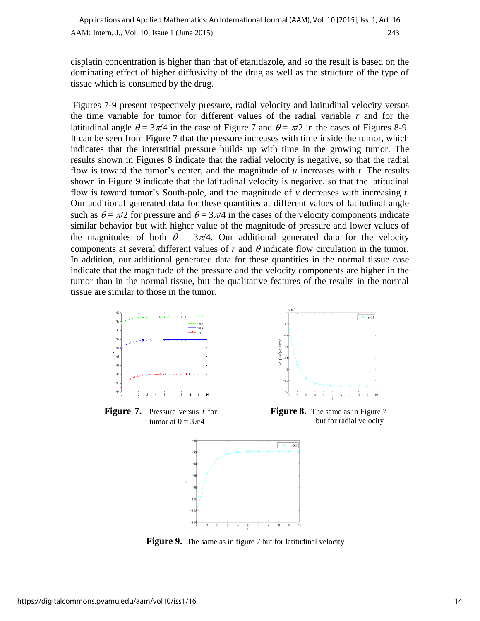cisplatin concentration is higher than that of etanidazole, and so the result is based on the dominating effect of higher diffusivity of the drug as well as the structure of the type of tissue which is consumed by the drug.

Figures 7-9 present respectively pressure, radial velocity and latitudinal velocity versus the time variable for tumor for different values of the radial variable *r* and for the latitudinal angle  $\theta = 3\pi/4$  in the case of Figure 7 and  $\theta = \pi/2$  in the cases of Figures 8-9. It can be seen from Figure 7 that the pressure increases with time inside the tumor, which indicates that the interstitial pressure builds up with time in the growing tumor. The results shown in Figures 8 indicate that the radial velocity is negative, so that the radial flow is toward the tumor's center, and the magnitude of *u* increases with *t*. The results shown in Figure 9 indicate that the latitudinal velocity is negative, so that the latitudinal flow is toward tumor's South-pole, and the magnitude of *v* decreases with increasing *t*. Our additional generated data for these quantities at different values of latitudinal angle such as  $\theta = \pi/2$  for pressure and  $\theta = 3\pi/4$  in the cases of the velocity components indicate similar behavior but with higher value of the magnitude of pressure and lower values of the magnitudes of both  $\theta = 3\pi/4$ . Our additional generated data for the velocity components at several different values of  $r$  and  $\theta$  indicate flow circulation in the tumor. In addition, our additional generated data for these quantities in the normal tissue case indicate that the magnitude of the pressure and the velocity components are higher in the tumor than in the normal tissue, but the qualitative features of the results in the normal tissue are similar to those in the tumor.



**Figure 9.** The same as in figure 7 but for latitudinal velocity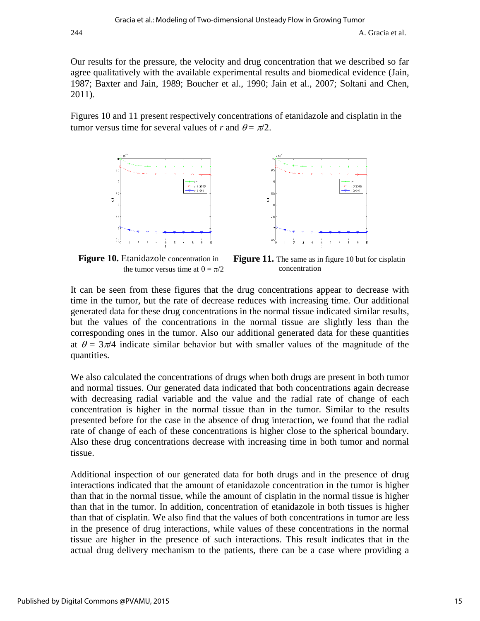Our results for the pressure, the velocity and drug concentration that we described so far agree qualitatively with the available experimental results and biomedical evidence (Jain, 1987; Baxter and Jain, 1989; Boucher et al., 1990; Jain et al., 2007; Soltani and Chen, 2011).

Figures 10 and 11 present respectively concentrations of etanidazole and cisplatin in the tumor versus time for several values of *r* and  $\theta = \pi/2$ .



**Figure 10.** Etanidazole concentration in the tumor versus time at  $\theta = \pi/2$ **Figure 11.** The same as in figure 10 but for cisplatin concentration

It can be seen from these figures that the drug concentrations appear to decrease with time in the tumor, but the rate of decrease reduces with increasing time. Our additional generated data for these drug concentrations in the normal tissue indicated similar results, but the values of the concentrations in the normal tissue are slightly less than the corresponding ones in the tumor. Also our additional generated data for these quantities at  $\theta = 3\pi/4$  indicate similar behavior but with smaller values of the magnitude of the quantities.

We also calculated the concentrations of drugs when both drugs are present in both tumor and normal tissues. Our generated data indicated that both concentrations again decrease with decreasing radial variable and the value and the radial rate of change of each concentration is higher in the normal tissue than in the tumor. Similar to the results presented before for the case in the absence of drug interaction, we found that the radial rate of change of each of these concentrations is higher close to the spherical boundary. Also these drug concentrations decrease with increasing time in both tumor and normal tissue.

Additional inspection of our generated data for both drugs and in the presence of drug interactions indicated that the amount of etanidazole concentration in the tumor is higher than that in the normal tissue, while the amount of cisplatin in the normal tissue is higher than that in the tumor. In addition, concentration of etanidazole in both tissues is higher than that of cisplatin. We also find that the values of both concentrations in tumor are less in the presence of drug interactions, while values of these concentrations in the normal tissue are higher in the presence of such interactions. This result indicates that in the actual drug delivery mechanism to the patients, there can be a case where providing a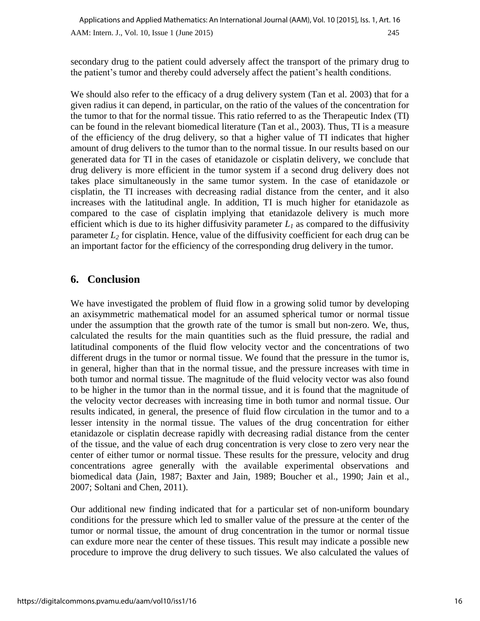secondary drug to the patient could adversely affect the transport of the primary drug to the patient's tumor and thereby could adversely affect the patient's health conditions.

We should also refer to the efficacy of a drug delivery system (Tan et al. 2003) that for a given radius it can depend, in particular, on the ratio of the values of the concentration for the tumor to that for the normal tissue. This ratio referred to as the Therapeutic Index (TI) can be found in the relevant biomedical literature (Tan et al., 2003). Thus, TI is a measure of the efficiency of the drug delivery, so that a higher value of TI indicates that higher amount of drug delivers to the tumor than to the normal tissue. In our results based on our generated data for TI in the cases of etanidazole or cisplatin delivery, we conclude that drug delivery is more efficient in the tumor system if a second drug delivery does not takes place simultaneously in the same tumor system. In the case of etanidazole or cisplatin, the TI increases with decreasing radial distance from the center, and it also increases with the latitudinal angle. In addition, TI is much higher for etanidazole as compared to the case of cisplatin implying that etanidazole delivery is much more efficient which is due to its higher diffusivity parameter  $L<sub>l</sub>$  as compared to the diffusivity parameter  $L_2$  for cisplatin. Hence, value of the diffusivity coefficient for each drug can be an important factor for the efficiency of the corresponding drug delivery in the tumor.

## **6. Conclusion**

We have investigated the problem of fluid flow in a growing solid tumor by developing an axisymmetric mathematical model for an assumed spherical tumor or normal tissue under the assumption that the growth rate of the tumor is small but non-zero. We, thus, calculated the results for the main quantities such as the fluid pressure, the radial and latitudinal components of the fluid flow velocity vector and the concentrations of two different drugs in the tumor or normal tissue. We found that the pressure in the tumor is, in general, higher than that in the normal tissue, and the pressure increases with time in both tumor and normal tissue. The magnitude of the fluid velocity vector was also found to be higher in the tumor than in the normal tissue, and it is found that the magnitude of the velocity vector decreases with increasing time in both tumor and normal tissue. Our results indicated, in general, the presence of fluid flow circulation in the tumor and to a lesser intensity in the normal tissue. The values of the drug concentration for either etanidazole or cisplatin decrease rapidly with decreasing radial distance from the center of the tissue, and the value of each drug concentration is very close to zero very near the center of either tumor or normal tissue. These results for the pressure, velocity and drug concentrations agree generally with the available experimental observations and biomedical data (Jain, 1987; Baxter and Jain, 1989; Boucher et al., 1990; Jain et al., 2007; Soltani and Chen, 2011).

Our additional new finding indicated that for a particular set of non-uniform boundary conditions for the pressure which led to smaller value of the pressure at the center of the tumor or normal tissue, the amount of drug concentration in the tumor or normal tissue can exdure more near the center of these tissues. This result may indicate a possible new procedure to improve the drug delivery to such tissues. We also calculated the values of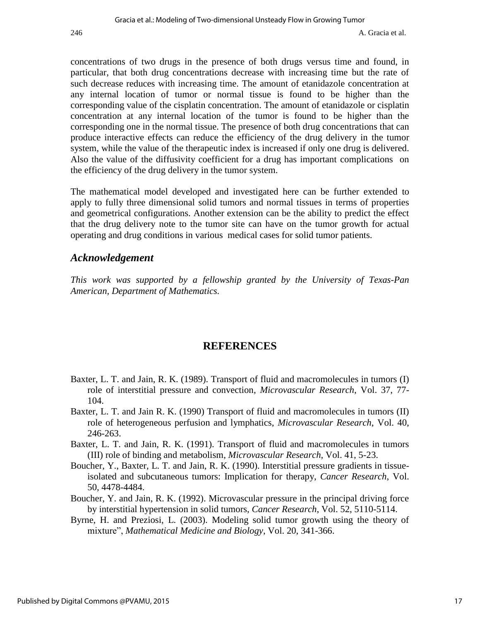concentrations of two drugs in the presence of both drugs versus time and found, in particular, that both drug concentrations decrease with increasing time but the rate of such decrease reduces with increasing time. The amount of etanidazole concentration at any internal location of tumor or normal tissue is found to be higher than the corresponding value of the cisplatin concentration. The amount of etanidazole or cisplatin concentration at any internal location of the tumor is found to be higher than the corresponding one in the normal tissue. The presence of both drug concentrations that can produce interactive effects can reduce the efficiency of the drug delivery in the tumor system, while the value of the therapeutic index is increased if only one drug is delivered. Also the value of the diffusivity coefficient for a drug has important complications on the efficiency of the drug delivery in the tumor system.

The mathematical model developed and investigated here can be further extended to apply to fully three dimensional solid tumors and normal tissues in terms of properties and geometrical configurations. Another extension can be the ability to predict the effect that the drug delivery note to the tumor site can have on the tumor growth for actual operating and drug conditions in various medical cases for solid tumor patients.

### *Acknowledgement*

*This work was supported by a fellowship granted by the University of Texas-Pan American, Department of Mathematics.* 

## **REFERENCES**

- Baxter, L. T. and Jain, R. K. (1989). Transport of fluid and macromolecules in tumors (I) role of interstitial pressure and convection, *Microvascular Research*, Vol. 37, 77- 104.
- Baxter, L. T. and Jain R. K. (1990) Transport of fluid and macromolecules in tumors (II) role of heterogeneous perfusion and lymphatics, *Microvascular Research*, Vol. 40, 246-263.
- Baxter, L. T. and Jain, R. K. (1991). Transport of fluid and macromolecules in tumors (III) role of binding and metabolism, *Microvascular Research*, Vol. 41, 5-23.
- Boucher, Y., Baxter, L. T. and Jain, R. K. (1990). Interstitial pressure gradients in tissueisolated and subcutaneous tumors: Implication for therapy, *Cancer Research*, Vol. 50, 4478-4484.
- Boucher, Y. and Jain, R. K. (1992). Microvascular pressure in the principal driving force by interstitial hypertension in solid tumors, *Cancer Research*, Vol. 52, 5110-5114.
- Byrne, H. and Preziosi, L. (2003). Modeling solid tumor growth using the theory of mixture", *Mathematical Medicine and Biology*, Vol. 20, 341-366.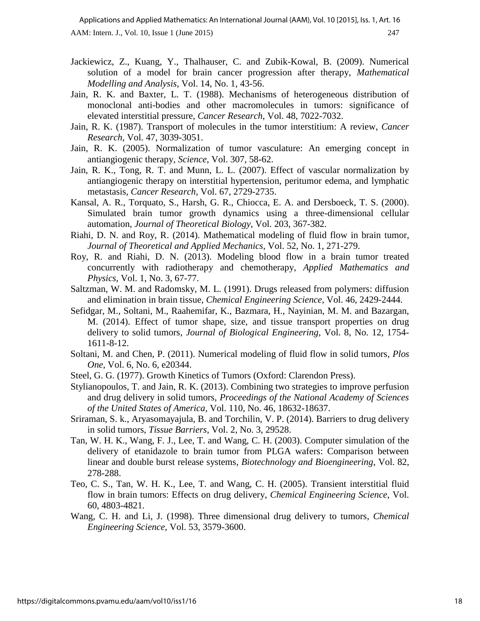- Jackiewicz, Z., Kuang, Y., Thalhauser, C. and Zubik-Kowal, B. (2009). Numerical solution of a model for brain cancer progression after therapy, *Mathematical Modelling and Analysis*, Vol. 14, No. 1, 43-56.
- Jain, R. K. and Baxter, L. T. (1988). Mechanisms of heterogeneous distribution of monoclonal anti-bodies and other macromolecules in tumors: significance of elevated interstitial pressure, *Cancer Research*, Vol. 48, 7022-7032.
- Jain, R. K. (1987). Transport of molecules in the tumor interstitium: A review, *Cancer Research*, Vol. 47, 3039-3051.
- Jain, R. K. (2005). Normalization of tumor vasculature: An emerging concept in antiangiogenic therapy, *Science*, Vol. 307, 58-62.
- Jain, R. K., Tong, R. T. and Munn, L. L. (2007). Effect of vascular normalization by antiangiogenic therapy on interstitial hypertension, peritumor edema, and lymphatic metastasis, *Cancer Research*, Vol. 67, 2729-2735.
- Kansal, A. R., Torquato, S., Harsh, G. R., Chiocca, E. A. and Dersboeck, T. S. (2000). Simulated brain tumor growth dynamics using a three-dimensional cellular automation, *Journal of Theoretical Biology*, Vol. 203, 367-382.
- Riahi, D. N. and Roy, R. (2014). Mathematical modeling of fluid flow in brain tumor, *Journal of Theoretical and Applied Mechanics*, Vol. 52, No. 1, 271-279.
- Roy, R. and Riahi, D. N. (2013). Modeling blood flow in a brain tumor treated concurrently with radiotherapy and chemotherapy, *Applied Mathematics and Physics*, Vol. 1, No. 3, 67-77.
- Saltzman, W. M. and Radomsky, M. L. (1991). Drugs released from polymers: diffusion and elimination in brain tissue, *Chemical Engineering Science*, Vol. 46, 2429-2444.
- Sefidgar, M., Soltani, M., Raahemifar, K., Bazmara, H., Nayinian, M. M. and Bazargan, M. (2014). Effect of tumor shape, size, and tissue transport properties on drug delivery to solid tumors, *Journal of Biological Engineering,* Vol. 8, No. 12, 1754- 1611-8-12.
- Soltani, M. and Chen, P. (2011). Numerical modeling of fluid flow in solid tumors, *Plos One*, Vol. 6, No. 6, e20344.
- Steel, G. G. (1977). Growth Kinetics of Tumors (Oxford: Clarendon Press).
- Stylianopoulos, T. and Jain, R. K. (2013). Combining two strategies to improve perfusion and drug delivery in solid tumors, *Proceedings of the National Academy of Sciences of the United States of America,* Vol. 110, No. 46, 18632-18637.
- Sriraman, S. k., Aryasomayajula, B. and Torchilin, V. P. (2014). Barriers to drug delivery in solid tumors, *Tissue Barriers*, Vol. 2, No. 3, 29528.
- Tan, W. H. K., Wang, F. J., Lee, T. and Wang, C. H. (2003). Computer simulation of the delivery of etanidazole to brain tumor from PLGA wafers: Comparison between linear and double burst release systems, *Biotechnology and Bioengineering*, Vol. 82, 278-288.
- Teo, C. S., Tan, W. H. K., Lee, T. and Wang, C. H. (2005). Transient interstitial fluid flow in brain tumors: Effects on drug delivery, *Chemical Engineering Science*, Vol. 60, 4803-4821.
- Wang, C. H. and Li, J. (1998). Three dimensional drug delivery to tumors, *Chemical Engineering Science*, Vol. 53, 3579-3600.